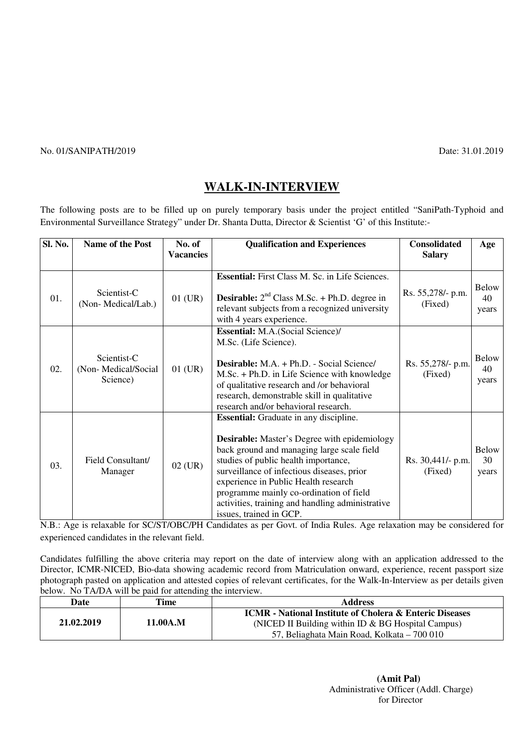## No. 01/SANIPATH/2019 Date: 31.01.2019

# **WALK-IN-INTERVIEW**

The following posts are to be filled up on purely temporary basis under the project entitled "SaniPath-Typhoid and Environmental Surveillance Strategy" under Dr. Shanta Dutta, Director & Scientist 'G' of this Institute:-

| <b>Sl. No.</b> | Name of the Post                               | No. of<br><b>Vacancies</b> | <b>Qualification and Experiences</b>                                                                                                                                                                                                                                                                                                                                                                       | <b>Consolidated</b><br><b>Salary</b> | Age                         |
|----------------|------------------------------------------------|----------------------------|------------------------------------------------------------------------------------------------------------------------------------------------------------------------------------------------------------------------------------------------------------------------------------------------------------------------------------------------------------------------------------------------------------|--------------------------------------|-----------------------------|
| 01.            | Scientist-C<br>(Non-Medical/Lab.)              | $01$ (UR)                  | <b>Essential:</b> First Class M. Sc. in Life Sciences.<br><b>Desirable:</b> $2^{nd}$ Class M.Sc. + Ph.D. degree in<br>relevant subjects from a recognized university<br>with 4 years experience.                                                                                                                                                                                                           | Rs. 55,278/- p.m.<br>(Fixed)         | Below<br>40<br>years        |
| 02.            | Scientist-C<br>(Non-Medical/Social<br>Science) | $01$ (UR)                  | <b>Essential:</b> M.A.(Social Science)/<br>M.Sc. (Life Science).<br><b>Desirable:</b> M.A. + Ph.D. - Social Science/<br>M.Sc. + Ph.D. in Life Science with knowledge<br>of qualitative research and /or behavioral<br>research, demonstrable skill in qualitative<br>research and/or behavioral research.                                                                                                  | Rs. 55,278/- p.m.<br>(Fixed)         | <b>Below</b><br>40<br>years |
| 03.            | Field Consultant/<br>Manager                   | $02$ (UR)                  | <b>Essential:</b> Graduate in any discipline.<br><b>Desirable:</b> Master's Degree with epidemiology<br>back ground and managing large scale field<br>studies of public health importance,<br>surveillance of infectious diseases, prior<br>experience in Public Health research<br>programme mainly co-ordination of field<br>activities, training and handling administrative<br>issues, trained in GCP. | Rs. 30,441/- p.m.<br>(Fixed)         | <b>Below</b><br>30<br>years |

N.B.: Age is relaxable for SC/ST/OBC/PH Candidates as per Govt. of India Rules. Age relaxation may be considered for experienced candidates in the relevant field.

Candidates fulfilling the above criteria may report on the date of interview along with an application addressed to the Director, ICMR-NICED, Bio-data showing academic record from Matriculation onward, experience, recent passport size photograph pasted on application and attested copies of relevant certificates, for the Walk-In-Interview as per details given below. No TA/DA will be paid for attending the interview.

| Time                   | <b>Address</b>                                                                                      |  |
|------------------------|-----------------------------------------------------------------------------------------------------|--|
|                        | <b>ICMR</b> - National Institute of Cholera & Enteric Diseases                                      |  |
| 21.02.2019<br>11.00A.M | (NICED II Building within ID $& BG$ Hospital Campus)<br>57, Beliaghata Main Road, Kolkata – 700 010 |  |
|                        |                                                                                                     |  |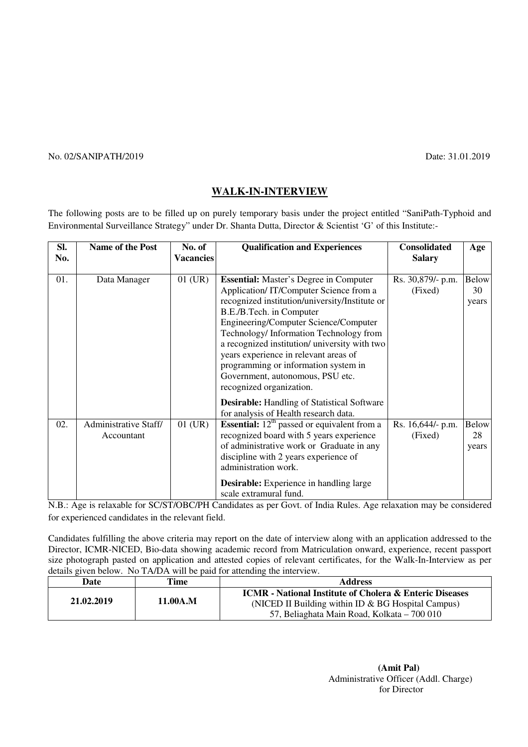### No. 02/SANIPATH/2019 Date: 31.01.2019

## **WALK-IN-INTERVIEW**

The following posts are to be filled up on purely temporary basis under the project entitled "SaniPath-Typhoid and Environmental Surveillance Strategy" under Dr. Shanta Dutta, Director & Scientist 'G' of this Institute:-

| SI. | Name of the Post      | No. of           | <b>Qualification and Experiences</b>                                     | <b>Consolidated</b> | Age          |
|-----|-----------------------|------------------|--------------------------------------------------------------------------|---------------------|--------------|
| No. |                       | <b>Vacancies</b> |                                                                          | <b>Salary</b>       |              |
|     |                       |                  |                                                                          |                     |              |
| 01. | Data Manager          | $01$ (UR)        | <b>Essential:</b> Master's Degree in Computer                            | Rs. 30,879/- p.m.   | <b>Below</b> |
|     |                       |                  | Application/IT/Computer Science from a                                   | (Fixed)             | 30           |
|     |                       |                  | recognized institution/university/Institute or                           |                     | years        |
|     |                       |                  | B.E./B.Tech. in Computer                                                 |                     |              |
|     |                       |                  | Engineering/Computer Science/Computer                                    |                     |              |
|     |                       |                  | Technology/ Information Technology from                                  |                     |              |
|     |                       |                  | a recognized institution/university with two                             |                     |              |
|     |                       |                  | years experience in relevant areas of                                    |                     |              |
|     |                       |                  | programming or information system in                                     |                     |              |
|     |                       |                  | Government, autonomous, PSU etc.                                         |                     |              |
|     |                       |                  | recognized organization.                                                 |                     |              |
|     |                       |                  | <b>Desirable:</b> Handling of Statistical Software                       |                     |              |
|     |                       |                  | for analysis of Health research data.                                    |                     |              |
| 02. | Administrative Staff/ | $01$ (UR)        | <b>Essential:</b> $12th$ passed or equivalent from a                     | Rs. 16,644/- p.m.   | <b>Below</b> |
|     | Accountant            |                  | recognized board with 5 years experience                                 | (Fixed)             | 28           |
|     |                       |                  | of administrative work or Graduate in any                                |                     | years        |
|     |                       |                  | discipline with 2 years experience of                                    |                     |              |
|     |                       |                  | administration work.                                                     |                     |              |
|     |                       |                  | <b>Desirable:</b> Experience in handling large<br>scale extramural fund. |                     |              |

N.B.: Age is relaxable for SC/ST/OBC/PH Candidates as per Govt. of India Rules. Age relaxation may be considered for experienced candidates in the relevant field.

Candidates fulfilling the above criteria may report on the date of interview along with an application addressed to the Director, ICMR-NICED, Bio-data showing academic record from Matriculation onward, experience, recent passport size photograph pasted on application and attested copies of relevant certificates, for the Walk-In-Interview as per details given below. No TA/DA will be paid for attending the interview.

| Date       | Time     | <b>Address</b>                                                                                                                                                         |
|------------|----------|------------------------------------------------------------------------------------------------------------------------------------------------------------------------|
| 21.02.2019 | 11.00A.M | <b>ICMR</b> - National Institute of Cholera & Enteric Diseases<br>(NICED II Building within ID $\&$ BG Hospital Campus)<br>57, Beliaghata Main Road, Kolkata – 700 010 |

 **(Amit Pal)**  Administrative Officer (Addl. Charge) for Director